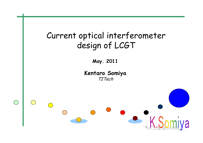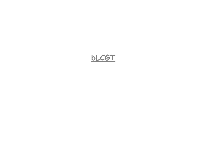### **bLCGT**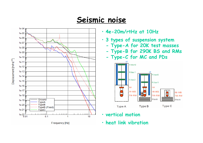#### **Seismic noise**



- **4e-20m/rtHz at 10Hz**
- **3 types of suspension system**
	- **-Type-A for 20K test masses**
	- **-Type-B for 290K BS and RMs**
	- **-Type-C for MC and PDs**



- •**vertical motion**
- •**heat link vibration**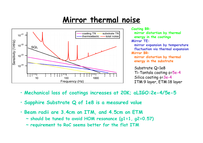# **Mirror thermal noise**



**Coating BR: mirror distortion by thermal energy in the coatings Mirror TE: mirror expansion by temperature fluctuation via thermal expansion Mirror BR: mirror distortion by thermal energy in the substrate** Substrate Q=1e8 Ti-Tantala coating =5e-4 Silica coating =3e-4 ITM:9 layer, ETM:18 layer

- **Mechanical loss of coatings increases at 20K; aLIGO:2e-4/5e-5**
- **Sapphire Substrate Q of 1e8 is a measured value**
- **Beam radii are 3.4cm on ITM, and 4.5cm on ETM**
	- **~ should be tuned to avoid HOM resonance (g1=1, g2=0.57)**
	- **~ requirement to RoC seems better for the flat ITM**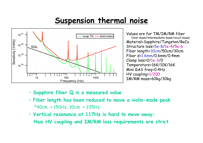## **Suspension thermal noise**



Values are for TM/IM/RM fiber (test mass/intermediate mass/recoil mass) Material=Sapphire/Tungsten/BeCu Structure loss=5e-8/1e-4 /5e-6 Fiber length=30cm/50cm/30cm Fiber d=1.6mm/0.6mm/0.4mm Clamp loss=0/1e-3/0 Temperature=16K/10K/16K Mini GAS freq=0.4Hz HV coupling=1/200 IM/RM mass=60kg/30kg

- **Sapphire fiber Q is a measured value**
- **Fiber length has been reduced to move a violin-mode peak** \*40cm -> 150Hz, 30cm -> 235Hz
- **Vertical resonance at 117Hz is hard to move away; thus HV coupling and IM/RM loss requirements are strict**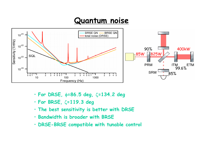#### **Quantum noise**



- **For DRSE, =86.5 deg, =134.2 deg**
- **For BRSE, =119.3 deg**
- **The best sensitivity is better with DRSE**
- **Bandwidth is broader with BRSE**
- **DRSE-BRSE compatible with tunable control**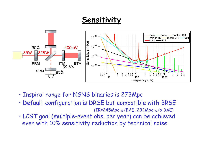## **Sensitivity**



- Inspiral range for NSNS binaries is 273Mpc
- Default configuration is DRSE but compatible with BRSE (IR=245Mpc w/BAE, 232Mpc w/o BAE)
- LCGT goal (multiple-event obs. per year) can be achieved even with 10% sensitivity reduction by technical noise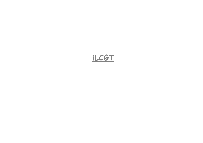## **iLCGT**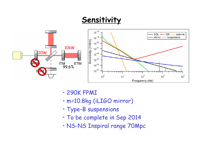## **Sensitivity**



- 290K FPMI
- m=10.8kg (iLIGO mirror)
- Type-B suspensions
- To be complete in Sep 2014
- NS-NS Inspiral range 70Mpc